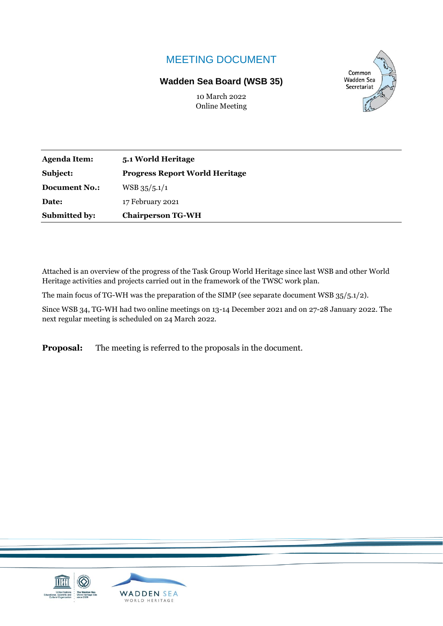# MEETING DOCUMENT

### **Wadden Sea Board (WSB 35)**



10 March 2022 Online Meeting

| <b>Agenda Item:</b>  | 5.1 World Heritage                    |  |
|----------------------|---------------------------------------|--|
| Subject:             | <b>Progress Report World Heritage</b> |  |
| <b>Document No.:</b> | $WSB$ 35/5.1/1                        |  |
| Date:                | 17 February 2021                      |  |
| <b>Submitted by:</b> | <b>Chairperson TG-WH</b>              |  |

Attached is an overview of the progress of the Task Group World Heritage since last WSB and other World Heritage activities and projects carried out in the framework of the TWSC work plan.

The main focus of TG-WH was the preparation of the SIMP (see separate document WSB 35/5.1/2).

Since WSB 34, TG-WH had two online meetings on 13-14 December 2021 and on 27-28 January 2022. The next regular meeting is scheduled on 24 March 2022.

**Proposal:** The meeting is referred to the proposals in the document.

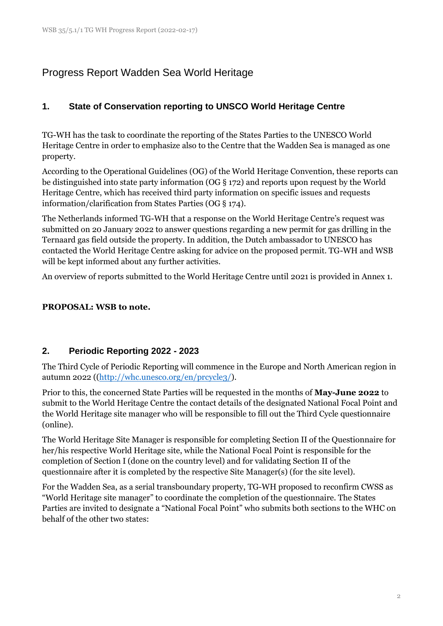# Progress Report Wadden Sea World Heritage

## **1. State of Conservation reporting to UNSCO World Heritage Centre**

TG-WH has the task to coordinate the reporting of the States Parties to the UNESCO World Heritage Centre in order to emphasize also to the Centre that the Wadden Sea is managed as one property.

According to the Operational Guidelines (OG) of the World Heritage Convention, these reports can be distinguished into state party information (OG § 172) and reports upon request by the World Heritage Centre, which has received third party information on specific issues and requests information/clarification from States Parties (OG § 174).

The Netherlands informed TG-WH that a response on the World Heritage Centre's request was submitted on 20 January 2022 to answer questions regarding a new permit for gas drilling in the Ternaard gas field outside the property. In addition, the Dutch ambassador to UNESCO has contacted the World Heritage Centre asking for advice on the proposed permit. TG-WH and WSB will be kept informed about any further activities.

An overview of reports submitted to the World Heritage Centre until 2021 is provided in Annex 1.

#### **PROPOSAL: WSB to note.**

## **2. Periodic Reporting 2022 - 2023**

The Third Cycle of Periodic Reporting will commence in the Europe and North American region in autumn 2022 ([\(http://whc.unesco.org/en/prcycle3/\)](http://whc.unesco.org/en/prcycle3/).

Prior to this, the concerned State Parties will be requested in the months of **May-June 2022** to submit to the World Heritage Centre the contact details of the designated National Focal Point and the World Heritage site manager who will be responsible to fill out the Third Cycle questionnaire (online).

The World Heritage Site Manager is responsible for completing Section II of the Questionnaire for her/his respective World Heritage site, while the National Focal Point is responsible for the completion of Section I (done on the country level) and for validating Section II of the questionnaire after it is completed by the respective Site Manager(s) (for the site level).

For the Wadden Sea, as a serial transboundary property, TG-WH proposed to reconfirm CWSS as "World Heritage site manager" to coordinate the completion of the questionnaire. The States Parties are invited to designate a "National Focal Point" who submits both sections to the WHC on behalf of the other two states: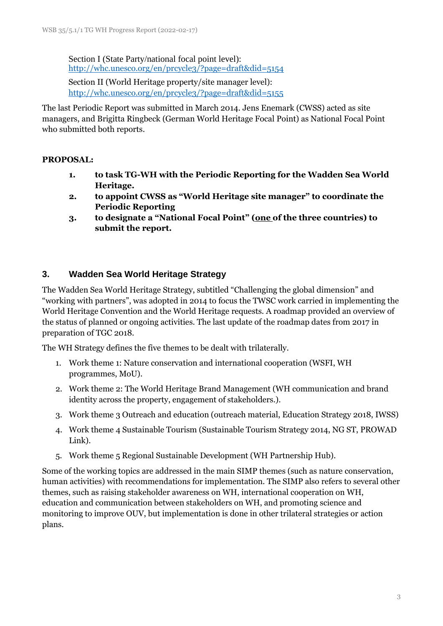Section I (State Party/national focal point level): <http://whc.unesco.org/en/prcycle3/?page=draft&did=5154>

Section II (World Heritage property/site manager level): <http://whc.unesco.org/en/prcycle3/?page=draft&did=5155>

The last Periodic Report was submitted in March 2014. Jens Enemark (CWSS) acted as site managers, and Brigitta Ringbeck (German World Heritage Focal Point) as National Focal Point who submitted both reports.

#### **PROPOSAL:**

- **1. to task TG-WH with the Periodic Reporting for the Wadden Sea World Heritage.**
- **2. to appoint CWSS as "World Heritage site manager" to coordinate the Periodic Reporting**
- **3. to designate a "National Focal Point" (one of the three countries) to submit the report.**

## **3. Wadden Sea World Heritage Strategy**

The Wadden Sea World Heritage Strategy, subtitled "Challenging the global dimension" and "working with partners", was adopted in 2014 to focus the TWSC work carried in implementing the World Heritage Convention and the World Heritage requests. A roadmap provided an overview of the status of planned or ongoing activities. The last update of the roadmap dates from 2017 in preparation of TGC 2018.

The WH Strategy defines the five themes to be dealt with trilaterally.

- 1. Work theme 1: Nature conservation and international cooperation (WSFI, WH programmes, MoU).
- 2. Work theme 2: The World Heritage Brand Management (WH communication and brand identity across the property, engagement of stakeholders.).
- 3. Work theme 3 Outreach and education (outreach material, Education Strategy 2018, IWSS)
- 4. Work theme 4 Sustainable Tourism (Sustainable Tourism Strategy 2014, NG ST, PROWAD Link).
- 5. Work theme 5 Regional Sustainable Development (WH Partnership Hub).

Some of the working topics are addressed in the main SIMP themes (such as nature conservation, human activities) with recommendations for implementation. The SIMP also refers to several other themes, such as raising stakeholder awareness on WH, international cooperation on WH, education and communication between stakeholders on WH, and promoting science and monitoring to improve OUV, but implementation is done in other trilateral strategies or action plans.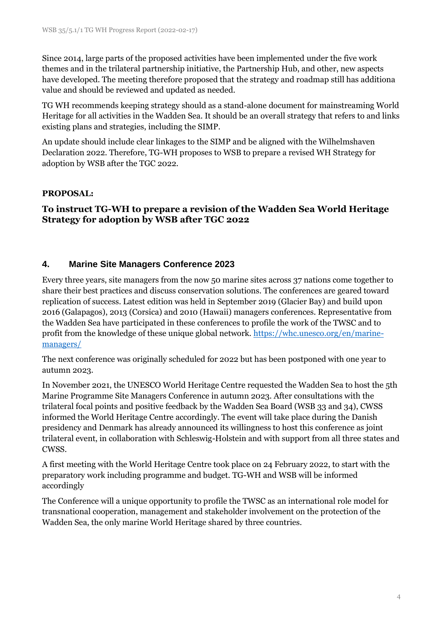Since 2014, large parts of the proposed activities have been implemented under the five work themes and in the trilateral partnership initiative, the Partnership Hub, and other, new aspects have developed. The meeting therefore proposed that the strategy and roadmap still has additiona value and should be reviewed and updated as needed.

TG WH recommends keeping strategy should as a stand-alone document for mainstreaming World Heritage for all activities in the Wadden Sea. It should be an overall strategy that refers to and links existing plans and strategies, including the SIMP.

An update should include clear linkages to the SIMP and be aligned with the Wilhelmshaven Declaration 2022. Therefore, TG-WH proposes to WSB to prepare a revised WH Strategy for adoption by WSB after the TGC 2022.

#### **PROPOSAL:**

### **To instruct TG-WH to prepare a revision of the Wadden Sea World Heritage Strategy for adoption by WSB after TGC 2022**

#### **4. Marine Site Managers Conference 2023**

Every three years, site managers from the now 50 marine sites across 37 nations come together to share their best practices and discuss conservation solutions. The conferences are geared toward replication of success. Latest edition was held in September 2019 (Glacier Bay) and build upon 2016 (Galapagos), 2013 (Corsica) and 2010 (Hawaii) managers conferences. Representative from the Wadden Sea have participated in these conferences to profile the work of the TWSC and to profit from the knowledge of these unique global network[. https://whc.unesco.org/en/marine](https://whc.unesco.org/en/marine-managers/)[managers/](https://whc.unesco.org/en/marine-managers/)

The next conference was originally scheduled for 2022 but has been postponed with one year to autumn 2023.

In November 2021, the UNESCO World Heritage Centre requested the Wadden Sea to host the 5th Marine Programme Site Managers Conference in autumn 2023. After consultations with the trilateral focal points and positive feedback by the Wadden Sea Board (WSB 33 and 34), CWSS informed the World Heritage Centre accordingly. The event will take place during the Danish presidency and Denmark has already announced its willingness to host this conference as joint trilateral event, in collaboration with Schleswig-Holstein and with support from all three states and CWSS.

A first meeting with the World Heritage Centre took place on 24 February 2022, to start with the preparatory work including programme and budget. TG-WH and WSB will be informed accordingly

The Conference will a unique opportunity to profile the TWSC as an international role model for transnational cooperation, management and stakeholder involvement on the protection of the Wadden Sea, the only marine World Heritage shared by three countries.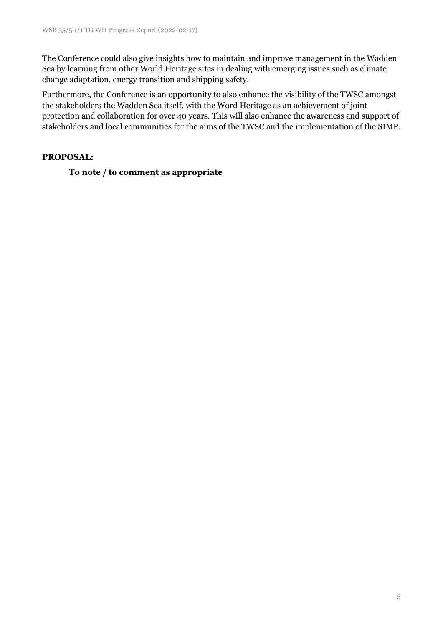The Conference could also give insights how to maintain and improve management in the Wadden Sea by learning from other World Heritage sites in dealing with emerging issues such as climate change adaptation, energy transition and shipping safety.

Furthermore, the Conference is an opportunity to also enhance the visibility of the TWSC amongst the stakeholders the Wadden Sea itself, with the Word Heritage as an achievement of joint protection and collaboration for over 40 years. This will also enhance the awareness and support of stakeholders and local communities for the aims of the TWSC and the implementation of the SIMP.

#### **PROPOSAL:**

**To note / to comment as appropriate**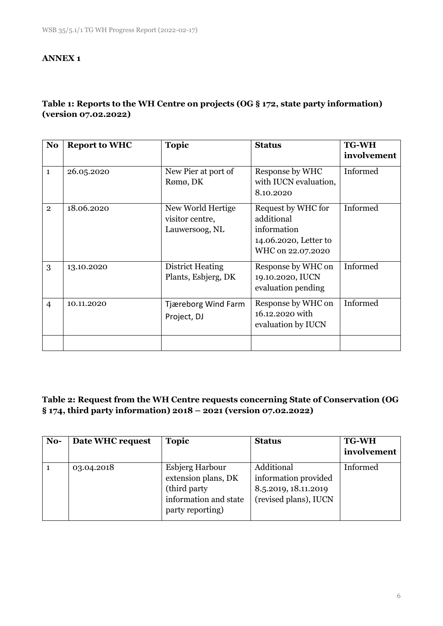#### **ANNEX 1**

## **Table 1: Reports to the WH Centre on projects (OG § 172, state party information) (version 07.02.2022)**

| N <sub>o</sub> | <b>Report to WHC</b> | <b>Topic</b>                                           | <b>Status</b>                                                                                 | <b>TG-WH</b><br>involvement |
|----------------|----------------------|--------------------------------------------------------|-----------------------------------------------------------------------------------------------|-----------------------------|
| $\mathbf{1}$   | 26.05.2020           | New Pier at port of<br>Rømø, DK                        | Response by WHC<br>with IUCN evaluation,<br>8.10.2020                                         | Informed                    |
| $\overline{2}$ | 18.06.2020           | New World Hertige<br>visitor centre,<br>Lauwersoog, NL | Request by WHC for<br>additional<br>information<br>14.06.2020, Letter to<br>WHC on 22.07.2020 | Informed                    |
| 3              | 13.10.2020           | District Heating<br>Plants, Esbjerg, DK                | Response by WHC on<br>19.10.2020, IUCN<br>evaluation pending                                  | Informed                    |
| $\overline{4}$ | 10.11.2020           | Tjæreborg Wind Farm<br>Project, DJ                     | Response by WHC on<br>16.12.2020 with<br>evaluation by IUCN                                   | Informed                    |

#### **Table 2: Request from the WH Centre requests concerning State of Conservation (OG § 174, third party information) 2018 – 2021 (version 07.02.2022)**

| No- | Date WHC request | <b>Topic</b>                                                                                                | <b>Status</b>                                                                       | <b>TG-WH</b> |
|-----|------------------|-------------------------------------------------------------------------------------------------------------|-------------------------------------------------------------------------------------|--------------|
|     |                  |                                                                                                             |                                                                                     | involvement  |
|     | 03.04.2018       | <b>Esbjerg Harbour</b><br>extension plans, DK<br>(third party)<br>information and state<br>party reporting) | Additional<br>information provided<br>8.5.2019, 18.11.2019<br>(revised plans), IUCN | Informed     |